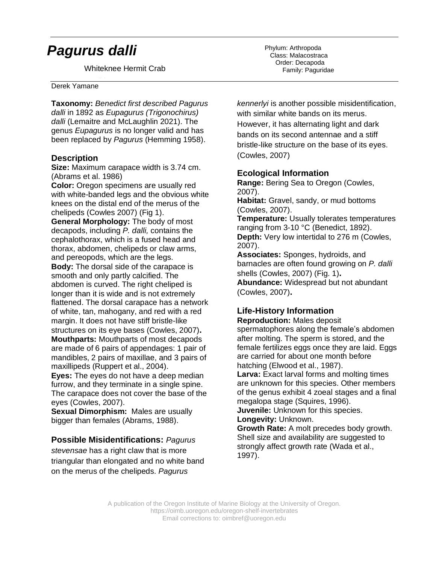# *Pagurus dalli*

Whiteknee Hermit Crab

#### Derek Yamane A ribbon worm

**Taxonomy:** *Benedict first described Pagurus dalli* in 1892 as *Eupagurus (Trigonochirus) dalli* (Lemaitre and McLaughlin 2021). The genus *Eupagurus* is no longer valid and has been replaced by *Pagurus* (Hemming 1958).

### **Description**

**Size:** Maximum carapace width is 3.74 cm. (Abrams et al. 1986)

**Color:** Oregon specimens are usually red with white-banded legs and the obvious white knees on the distal end of the merus of the chelipeds (Cowles 2007) (Fig 1).

**General Morphology:** The body of most decapods, including *P. dalli,* contains the cephalothorax, which is a fused head and thorax, abdomen, chelipeds or claw arms, and pereopods, which are the legs. **Body:** The dorsal side of the carapace is smooth and only partly calcified. The abdomen is curved. The right cheliped is longer than it is wide and is not extremely flattened. The dorsal carapace has a network of white, tan, mahogany, and red with a red margin. It does not have stiff bristle-like structures on its eye bases (Cowles, 2007)**. Mouthparts:** Mouthparts of most decapods are made of 6 pairs of appendages: 1 pair of mandibles, 2 pairs of maxillae, and 3 pairs of maxillipeds (Ruppert et al., 2004).

**Eyes:** The eyes do not have a deep median furrow, and they terminate in a single spine. The carapace does not cover the base of the eyes (Cowles, 2007).

**Sexual Dimorphism:** Males are usually bigger than females (Abrams, 1988).

#### **Possible Misidentifications:** *Pagurus*

*stevensae* has a right claw that is more triangular than elongated and no white band on the merus of the chelipeds. *Pagurus* 

Phylum: Arthropoda Class: Malacostraca Order: Decapoda Family: Paguridae

*kennerlyi* is another possible misidentification, with similar white bands on its merus. However, it has alternating light and dark bands on its second antennae and a stiff bristle-like structure on the base of its eyes. (Cowles, 2007)

## **Ecological Information**

**Range:** Bering Sea to Oregon (Cowles, 2007).

**Habitat:** Gravel, sandy, or mud bottoms (Cowles, 2007).

**Temperature:** Usually tolerates temperatures ranging from 3-10 °C (Benedict, 1892). **Depth:** Very low intertidal to 276 m (Cowles, 2007).

**Associates:** Sponges, hydroids, and barnacles are often found growing on *P. dalli* shells (Cowles, 2007) (Fig. 1)**.**

**Abundance:** Widespread but not abundant (Cowles, 2007)**.**

# **Life-History Information**

**Reproduction:** Males deposit spermatophores along the female's abdomen after molting. The sperm is stored, and the female fertilizes eggs once they are laid. Eggs are carried for about one month before hatching (Elwood et al., 1987).

**Larva:** Exact larval forms and molting times are unknown for this species. Other members of the genus exhibit 4 zoeal stages and a final megalopa stage (Squires, 1996).

**Juvenile:** Unknown for this species. **Longevity:** Unknown.

**Growth Rate:** A molt precedes body growth. Shell size and availability are suggested to strongly affect growth rate (Wada et al., 1997).

A publication of the Oregon Institute of Marine Biology at the University of Oregon. https://oimb.uoregon.edu/oregon-shelf-invertebrates Email corrections to: oimbref@uoregon.edu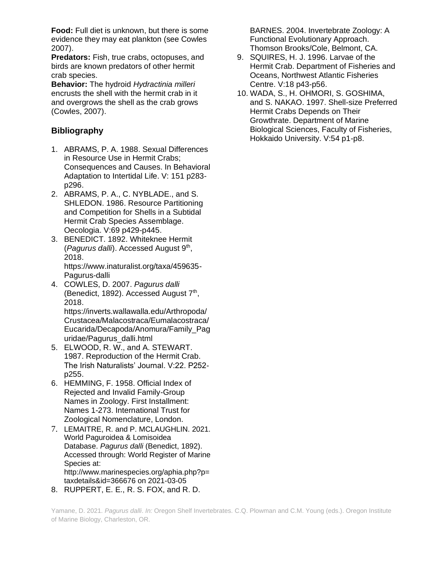**Food:** Full diet is unknown, but there is some evidence they may eat plankton (see Cowles 2007).

**Predators:** Fish, true crabs, octopuses, and birds are known predators of other hermit crab species.

**Behavior:** The hydroid *Hydractinia milleri* encrusts the shell with the hermit crab in it and overgrows the shell as the crab grows (Cowles, 2007).

# **Bibliography**

- 1. ABRAMS, P. A. 1988. Sexual Differences in Resource Use in Hermit Crabs; Consequences and Causes. In Behavioral Adaptation to Intertidal Life. V: 151 p283 p296.
- 2. ABRAMS, P. A., C. NYBLADE., and S. SHLEDON. 1986. Resource Partitioning and Competition for Shells in a Subtidal Hermit Crab Species Assemblage. Oecologia. V:69 p429-p445.
- 3. BENEDICT. 1892. Whiteknee Hermit (Pagurus dalli). Accessed August 9<sup>th</sup>, 2018. https://www.inaturalist.org/taxa/459635-

Pagurus-dalli 4. COWLES, D. 2007. *Pagurus dalli*

(Benedict, 1892). Accessed August 7<sup>th</sup>, 2018.

https://inverts.wallawalla.edu/Arthropoda/ Crustacea/Malacostraca/Eumalacostraca/ Eucarida/Decapoda/Anomura/Family\_Pag uridae/Pagurus\_dalli.html

- 5. ELWOOD, R. W., and A. STEWART. 1987. Reproduction of the Hermit Crab. The Irish Naturalists' Journal. V:22. P252 p255.
- 6. HEMMING, F. 1958. Official Index of Rejected and Invalid Family-Group Names in Zoology. First Installment: Names 1-273. International Trust for Zoological Nomenclature, London.
- 7. LEMAITRE, R. and P. MCLAUGHLIN. 2021. World Paguroidea & Lomisoidea Database. *Pagurus dalli* (Benedict, 1892). Accessed through: World Register of Marine Species at: http://www.marinespecies.org/aphia.php?p= taxdetails&id=366676 on 2021-03-05
- 8. RUPPERT, E. E., R. S. FOX, and R. D.

BARNES. 2004. Invertebrate Zoology: A Functional Evolutionary Approach. Thomson Brooks/Cole, Belmont, CA.

- 9. SQUIRES, H. J. 1996. Larvae of the Hermit Crab. Department of Fisheries and Oceans, Northwest Atlantic Fisheries Centre. V:18 p43-p56.
- 10. WADA, S., H. OHMORI, S. GOSHIMA, and S. NAKAO. 1997. Shell-size Preferred Hermit Crabs Depends on Their Growthrate. Department of Marine Biological Sciences, Faculty of Fisheries, Hokkaido University. V:54 p1-p8.